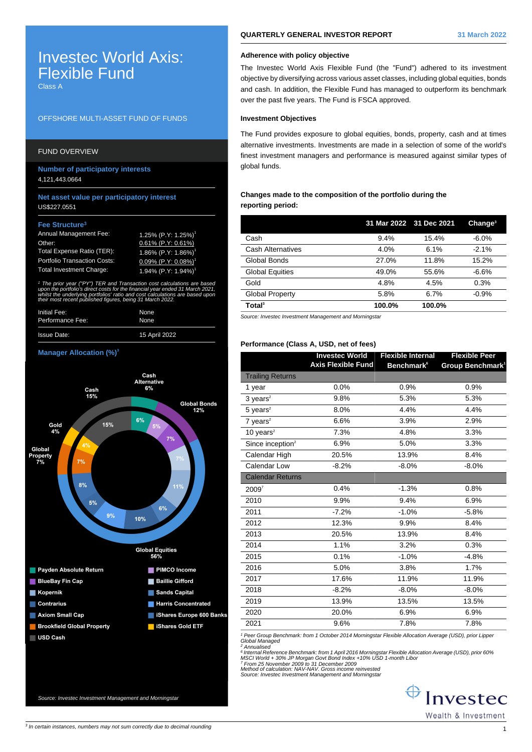# Investec World Axis: Flexible Fund

Class A

## OFFSHORE MULTI-ASSET FUND OF FUNDS

# FUND OVERVIEW

**Number of participatory interests** 4,121,443.0664

## **Net asset value per participatory interest** US\$227.0551

## **Fee Structure<sup>3</sup>**

| <b>Annual Management Fee:</b>       | $1.25\%$ (P.Y: 1.25%) <sup>1</sup>     |
|-------------------------------------|----------------------------------------|
| Other:                              | $0.61\%$ (P.Y: 0.61%)                  |
| Total Expense Ratio (TER):          | $1.86\%$ (P.Y: 1.86%) <sup>1</sup>     |
| <b>Portfolio Transaction Costs:</b> | $0.09\%$ (P.Y: $0.08\%$ ) <sup>1</sup> |
| <b>Total Investment Charge:</b>     | 1.94% $(P.Y: 1.94%)$ <sup>1</sup>      |

1 The prior year ("PY") TER and Transaction cost calculations are based upon the portfolio's direct costs for the financial year ended 31 March 2021, whilst the underlying portfolios' ratio and cost calculations are based upor. their most recent published figures, being 31 March 2022.

| Initial Fee:     | None          |
|------------------|---------------|
| Performance Fee: | None          |
| Issue Date:      | 15 April 2022 |

#### **Manager Allocation (%)<sup>3</sup>**



# **QUARTERLY GENERAL INVESTOR REPORT 31 March 2022**

# **Adherence with policy objective**

The Investec World Axis Flexible Fund (the "Fund") adhered to its investment objective by diversifying across various asset classes, including global equities, bonds and cash. In addition, the Flexible Fund has managed to outperform its benchmark over the past five years. The Fund is FSCA approved.

## **Investment Objectives**

The Fund provides exposure to global equities, bonds, property, cash and at times alternative investments. Investments are made in a selection of some of the world's finest investment managers and performance is measured against similar types of global funds.

## **Changes made to the composition of the portfolio during the reporting period:**

|        |        | Change <sup>3</sup>     |
|--------|--------|-------------------------|
| 9.4%   | 15.4%  | $-6.0%$                 |
| 4.0%   | 6.1%   | $-2.1%$                 |
| 27.0%  | 11.8%  | 15.2%                   |
| 49.0%  | 55.6%  | $-6.6%$                 |
| 4.8%   | 4.5%   | 0.3%                    |
| 5.8%   | 6.7%   | $-0.9%$                 |
| 100.0% | 100.0% |                         |
|        |        | 31 Mar 2022 31 Dec 2021 |

Source: Investec Investment Management and Morningstar

## **Performance (Class A, USD, net of fees)**

|                              | <b>Investec World</b>     | <b>Flexible Internal</b>      | <b>Flexible Peer</b>         |
|------------------------------|---------------------------|-------------------------------|------------------------------|
|                              | <b>Axis Flexible Fund</b> | <b>Benchmark</b> <sup>6</sup> | Group Benchmark <sup>1</sup> |
| <b>Trailing Returns</b>      |                           |                               |                              |
| 1 year                       | 0.0%                      | 0.9%                          | 0.9%                         |
| $3$ years <sup>2</sup>       | 9.8%                      | 5.3%                          | 5.3%                         |
| $5$ years <sup>2</sup>       | 8.0%                      | 4.4%                          | 4.4%                         |
| $7$ years <sup>2</sup>       | 6.6%                      | 3.9%                          | 2.9%                         |
| 10 years $2$                 | 7.3%                      | 4.8%                          | 3.3%                         |
| Since inception <sup>2</sup> | 6.9%                      | 5.0%                          | 3.3%                         |
| Calendar High                | 20.5%                     | 13.9%                         | 8.4%                         |
| <b>Calendar Low</b>          | $-8.2%$                   | $-8.0\%$                      | $-8.0%$                      |
| <b>Calendar Returns</b>      |                           |                               |                              |
| $2009^7$                     | 0.4%                      | $-1.3%$                       | 0.8%                         |
| 2010                         | 9.9%                      | 9.4%                          | 6.9%                         |
| 2011                         | $-7.2%$                   | $-1.0%$                       | $-5.8%$                      |
| 2012                         | 12.3%                     | 9.9%                          | 8.4%                         |
| 2013                         | 20.5%                     | 13.9%                         | 8.4%                         |
| 2014                         | 1.1%                      | 3.2%                          | 0.3%                         |
| 2015                         | 0.1%                      | $-1.0%$                       | $-4.8%$                      |
| 2016                         | 5.0%                      | 3.8%                          | 1.7%                         |
| 2017                         | 17.6%                     | 11.9%                         | 11.9%                        |
| 2018                         | $-8.2%$                   | $-8.0%$                       | $-8.0%$                      |
| 2019                         | 13.9%                     | 13.5%                         | 13.5%                        |
| 2020                         | 20.0%                     | 6.9%                          | 6.9%                         |
| 2021                         | 9.6%                      | 7.8%                          | 7.8%                         |
|                              |                           |                               |                              |

<sup>1</sup> Peer Group Benchmark: from 1 October 2014 Morningstar Flexible Allocation Average (USD), prior Lippeı<br>Global Managed<br><sup>2</sup> Annualised

<sup>6</sup> Internal Reference Benchmark: from 1 April 2016 Morningstar Flexible Allocation Average (USD), prior 60%<br>MSCI World + 30% JP Morgan Govt Bond Index +10% USD 1-month Libor<br><sup>7</sup> From 25 November 2009 to 31 December 2009<br>M

⊕ Investec Wealth & Investment

Source: Investec Investment Management and Morningstar